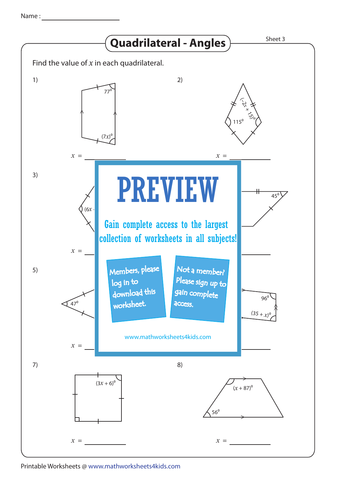